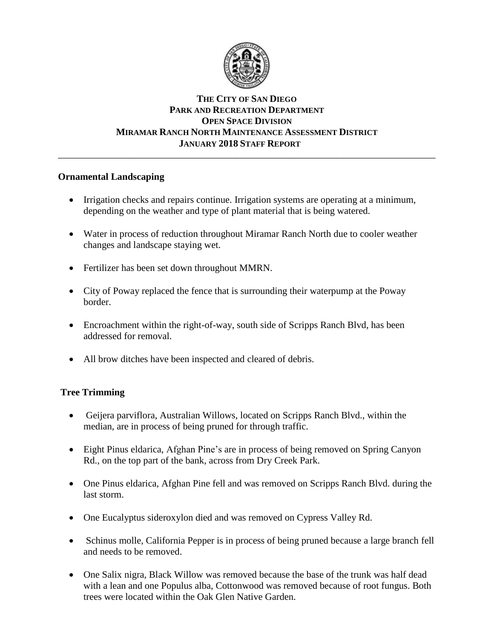

### **THE CITY OF SAN DIEGO PARK AND RECREATION DEPARTMENT OPEN SPACE DIVISION MIRAMAR RANCH NORTH MAINTENANCE ASSESSMENT DISTRICT JANUARY 2018 STAFF REPORT** \_\_\_\_\_\_\_\_\_\_\_\_\_\_\_\_\_\_\_\_\_\_\_\_\_\_\_\_\_\_\_\_\_\_\_\_\_\_\_\_\_\_\_\_\_\_\_\_\_\_\_\_\_\_\_\_\_\_\_\_\_\_\_\_\_\_\_\_\_\_\_\_\_\_\_\_\_\_

### **Ornamental Landscaping**

- Irrigation checks and repairs continue. Irrigation systems are operating at a minimum, depending on the weather and type of plant material that is being watered.
- Water in process of reduction throughout Miramar Ranch North due to cooler weather changes and landscape staying wet.
- Fertilizer has been set down throughout MMRN.
- City of Poway replaced the fence that is surrounding their waterpump at the Poway border.
- Encroachment within the right-of-way, south side of Scripps Ranch Blvd, has been addressed for removal.
- All brow ditches have been inspected and cleared of debris.

# **Tree Trimming**

- Geijera parviflora, Australian Willows, located on Scripps Ranch Blvd., within the median, are in process of being pruned for through traffic.
- Eight Pinus eldarica, Afghan Pine's are in process of being removed on Spring Canyon Rd., on the top part of the bank, across from Dry Creek Park.
- One Pinus eldarica, Afghan Pine fell and was removed on Scripps Ranch Blvd. during the last storm.
- One Eucalyptus sideroxylon died and was removed on Cypress Valley Rd.
- Schinus molle, California Pepper is in process of being pruned because a large branch fell and needs to be removed.
- One Salix nigra, Black Willow was removed because the base of the trunk was half dead with a lean and one Populus alba, Cottonwood was removed because of root fungus. Both trees were located within the Oak Glen Native Garden.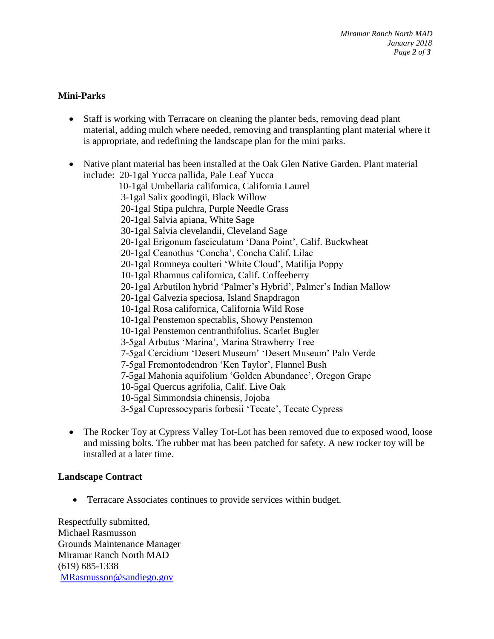# **Mini-Parks**

- Staff is working with Terracare on cleaning the planter beds, removing dead plant material, adding mulch where needed, removing and transplanting plant material where it is appropriate, and redefining the landscape plan for the mini parks.
- Native plant material has been installed at the Oak Glen Native Garden. Plant material include: 20-1gal Yucca pallida, Pale Leaf Yucca
	- 10-1gal Umbellaria californica, California Laurel 3-1gal Salix goodingii, Black Willow
	- 20-1gal Stipa pulchra, Purple Needle Grass
	- 20-1gal Salvia apiana, White Sage
	- 30-1gal Salvia clevelandii, Cleveland Sage
	- 20-1gal Erigonum fasciculatum 'Dana Point', Calif. Buckwheat
	- 20-1gal Ceanothus 'Concha', Concha Calif. Lilac
	- 20-1gal Romneya coulteri 'White Cloud', Matilija Poppy
	- 10-1gal Rhamnus californica, Calif. Coffeeberry
	- 20-1gal Arbutilon hybrid 'Palmer's Hybrid', Palmer's Indian Mallow
	- 20-1gal Galvezia speciosa, Island Snapdragon
	- 10-1gal Rosa californica, California Wild Rose
	- 10-1gal Penstemon spectablis, Showy Penstemon
	- 10-1gal Penstemon centranthifolius, Scarlet Bugler
	- 3-5gal Arbutus 'Marina', Marina Strawberry Tree
	- 7-5gal Cercidium 'Desert Museum' 'Desert Museum' Palo Verde
	- 7-5gal Fremontodendron 'Ken Taylor', Flannel Bush
	- 7-5gal Mahonia aquifolium 'Golden Abundance', Oregon Grape
	- 10-5gal Quercus agrifolia, Calif. Live Oak
	- 10-5gal Simmondsia chinensis, Jojoba
	- 3-5gal Cupressocyparis forbesii 'Tecate', Tecate Cypress
- The Rocker Toy at Cypress Valley Tot-Lot has been removed due to exposed wood, loose and missing bolts. The rubber mat has been patched for safety. A new rocker toy will be installed at a later time.

# **Landscape Contract**

Terracare Associates continues to provide services within budget.

Respectfully submitted, Michael Rasmusson Grounds Maintenance Manager Miramar Ranch North MAD (619) 685-1338 [MRasmusson@sandiego.gov](mailto:MRasmusson@sandiego.gov)